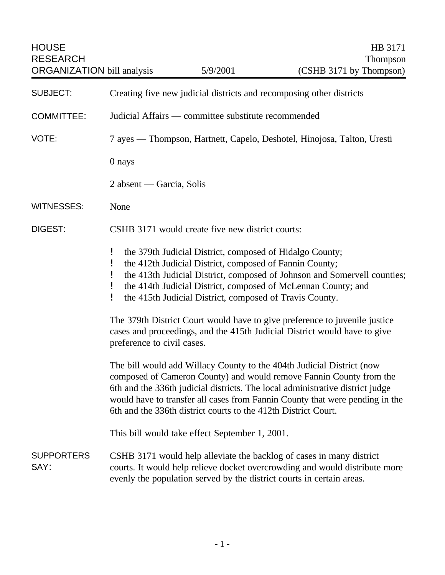| <b>HOUSE</b><br><b>RESEARCH</b><br><b>ORGANIZATION</b> bill analysis |                                                                                                                                                                                                                                                                                                                                                                                 | 5/9/2001 | HB 3171<br>Thompson<br>(CSHB 3171 by Thompson) |  |
|----------------------------------------------------------------------|---------------------------------------------------------------------------------------------------------------------------------------------------------------------------------------------------------------------------------------------------------------------------------------------------------------------------------------------------------------------------------|----------|------------------------------------------------|--|
| <b>SUBJECT:</b>                                                      | Creating five new judicial districts and recomposing other districts                                                                                                                                                                                                                                                                                                            |          |                                                |  |
| <b>COMMITTEE:</b>                                                    | Judicial Affairs — committee substitute recommended                                                                                                                                                                                                                                                                                                                             |          |                                                |  |
| VOTE:                                                                | 7 ayes — Thompson, Hartnett, Capelo, Deshotel, Hinojosa, Talton, Uresti                                                                                                                                                                                                                                                                                                         |          |                                                |  |
|                                                                      | 0 nays                                                                                                                                                                                                                                                                                                                                                                          |          |                                                |  |
|                                                                      | 2 absent — Garcia, Solis                                                                                                                                                                                                                                                                                                                                                        |          |                                                |  |
| <b>WITNESSES:</b>                                                    | None                                                                                                                                                                                                                                                                                                                                                                            |          |                                                |  |
| DIGEST:                                                              | CSHB 3171 would create five new district courts:                                                                                                                                                                                                                                                                                                                                |          |                                                |  |
|                                                                      | the 379th Judicial District, composed of Hidalgo County;<br>the 412th Judicial District, composed of Fannin County;<br>the 413th Judicial District, composed of Johnson and Somervell counties;<br>the 414th Judicial District, composed of McLennan County; and<br>the 415th Judicial District, composed of Travis County.                                                     |          |                                                |  |
|                                                                      | The 379th District Court would have to give preference to juvenile justice<br>cases and proceedings, and the 415th Judicial District would have to give<br>preference to civil cases.                                                                                                                                                                                           |          |                                                |  |
|                                                                      | The bill would add Willacy County to the 404th Judicial District (now<br>composed of Cameron County) and would remove Fannin County from the<br>6th and the 336th judicial districts. The local administrative district judge<br>would have to transfer all cases from Fannin County that were pending in the<br>6th and the 336th district courts to the 412th District Court. |          |                                                |  |
|                                                                      | This bill would take effect September 1, 2001.                                                                                                                                                                                                                                                                                                                                  |          |                                                |  |
| <b>SUPPORTERS</b><br>SAY:                                            | CSHB 3171 would help alleviate the backlog of cases in many district<br>courts. It would help relieve docket overcrowding and would distribute more<br>evenly the population served by the district courts in certain areas.                                                                                                                                                    |          |                                                |  |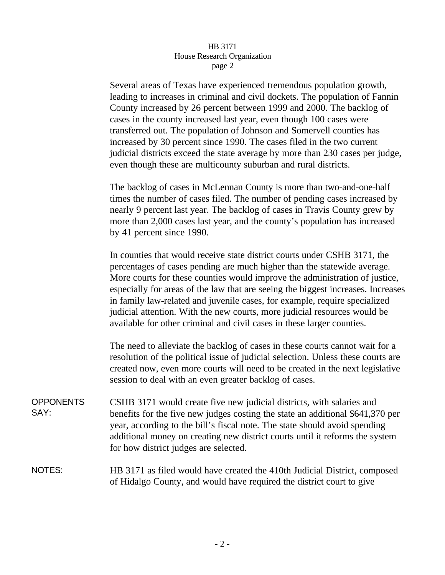## HB 3171 House Research Organization page 2

Several areas of Texas have experienced tremendous population growth, leading to increases in criminal and civil dockets. The population of Fannin County increased by 26 percent between 1999 and 2000. The backlog of cases in the county increased last year, even though 100 cases were transferred out. The population of Johnson and Somervell counties has increased by 30 percent since 1990. The cases filed in the two current judicial districts exceed the state average by more than 230 cases per judge, even though these are multicounty suburban and rural districts.

The backlog of cases in McLennan County is more than two-and-one-half times the number of cases filed. The number of pending cases increased by nearly 9 percent last year. The backlog of cases in Travis County grew by more than 2,000 cases last year, and the county's population has increased by 41 percent since 1990.

In counties that would receive state district courts under CSHB 3171, the percentages of cases pending are much higher than the statewide average. More courts for these counties would improve the administration of justice, especially for areas of the law that are seeing the biggest increases. Increases in family law-related and juvenile cases, for example, require specialized judicial attention. With the new courts, more judicial resources would be available for other criminal and civil cases in these larger counties.

The need to alleviate the backlog of cases in these courts cannot wait for a resolution of the political issue of judicial selection. Unless these courts are created now, even more courts will need to be created in the next legislative session to deal with an even greater backlog of cases.

**OPPONENTS** SAY: CSHB 3171 would create five new judicial districts, with salaries and benefits for the five new judges costing the state an additional \$641,370 per year, according to the bill's fiscal note. The state should avoid spending additional money on creating new district courts until it reforms the system for how district judges are selected.

## NOTES: HB 3171 as filed would have created the 410th Judicial District, composed of Hidalgo County, and would have required the district court to give